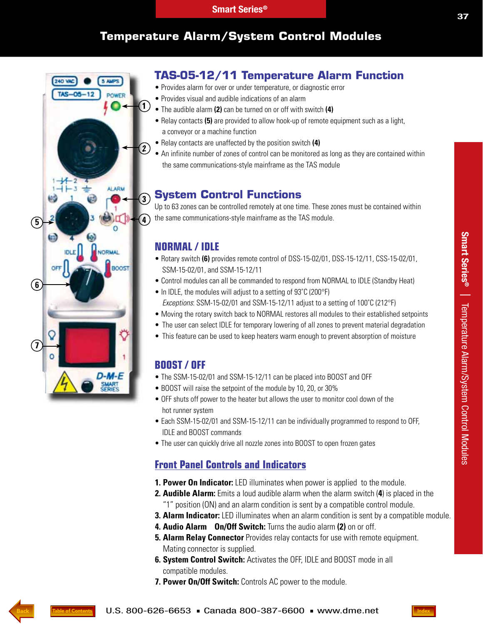# **Temperature Alarm/System Control Modules**

# **TAS-05-12/11 Temperature Alarm Function**

- Provides alarm for over or under temperature, or diagnostic error
- Provides visual and audible indications of an alarm
- The audible alarm **(2)** can be turned on or off with switch **(4)**
- Relay contacts **(5)** are provided to allow hook-up of remote equipment such as a light, a conveyor or a machine function
- Relay contacts are unaffected by the position switch **(4)**
- An infinite number of zones of control can be monitored as long as they are contained within the same communications-style mainframe as the TAS module

## **System Control Functions**

Up to 63 zones can be controlled remotely at one time. These zones must be contained within the same communications-style mainframe as the TAS module.

#### **NORMAL / IDLE**

**4**

**3**

**ALARM** 

 $\Omega$ 

3005

NORMAL

Ø,

**2**

**1**

- Rotary switch **(6)** provides remote control of DSS-15-02/01, DSS-15-12/11, CSS-15-02/01, SSM-15-02/01, and SSM-15-12/11
- Control modules can all be commanded to respond from NORMAL to IDLE (Standby Heat)
- In IDLE, the modules will adjust to a setting of 93°C (200°F) Exceptions: SSM-15-02/01 and SSM-15-12/11 adjust to a setting of 100°C (212°F)
- Moving the rotary switch back to NORMAL restores all modules to their established setpoints
- The user can select IDLE for temporary lowering of all zones to prevent material degradation
- This feature can be used to keep heaters warm enough to prevent absorption of moisture

#### **BOOST / OFF**

- The SSM-15-02/01 and SSM-15-12/11 can be placed into BOOST and OFF
- BOOST will raise the setpoint of the module by 10, 20, or 30%
- OFF shuts off power to the heater but allows the user to monitor cool down of the hot runner system
- Each SSM-15-02/01 and SSM-15-12/11 can be individually programmed to respond to OFF, IDLE and BOOST commands
- The user can quickly drive all nozzle zones into BOOST to open frozen gates

#### **Front Panel Controls and Indicators**

- **1. Power On Indicator:** LED illuminates when power is applied to the module.
- **2. Audible Alarm:** Emits a loud audible alarm when the alarm switch (**4**) is placed in the "1" position (ON) and an alarm condition is sent by a compatible control module.
- **3. Alarm Indicator:** LED illuminates when an alarm condition is sent by a compatible module.
- **4. Audio Alarm On/Off Switch:** Turns the audio alarm **(2)** on or off.
- **5. Alarm Relay Connector** Provides relay contacts for use with remote equipment. Mating connector is supplied.
- **6. System Control Switch:** Activates the OFF, IDLE and BOOST mode in all compatible modules.
- **7. Power On/Off Switch:** Controls AC power to the module.



**5**

**SB** 

**240 VAL** 

 $TAS - 05 - 12$ 

**6**

**7**